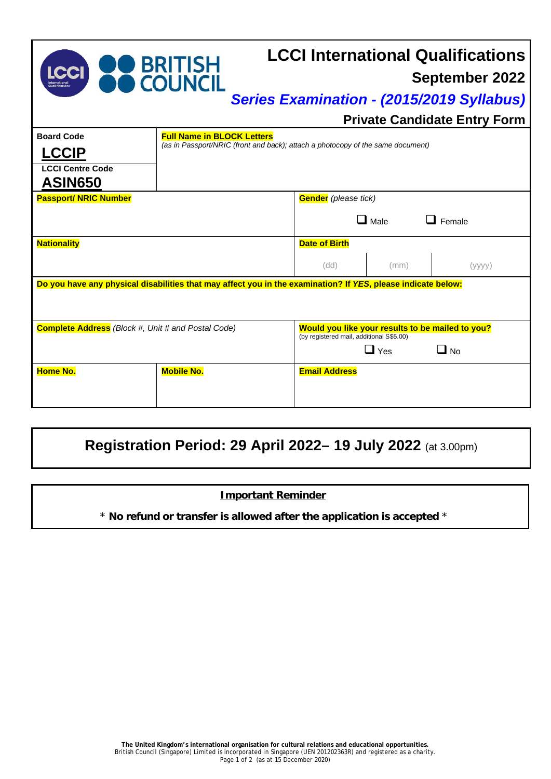| <b>LCCI</b>                                                                                                  | BRITISH<br><b>COUNCIL</b>                                                                                            |                                                                                                                         |             | <b>LCCI International Qualifications</b><br><b>September 2022</b><br><b>Series Examination - (2015/2019 Syllabus)</b><br><b>Private Candidate Entry Form</b> |  |
|--------------------------------------------------------------------------------------------------------------|----------------------------------------------------------------------------------------------------------------------|-------------------------------------------------------------------------------------------------------------------------|-------------|--------------------------------------------------------------------------------------------------------------------------------------------------------------|--|
| <b>Board Code</b>                                                                                            | <b>Full Name in BLOCK Letters</b><br>(as in Passport/NRIC (front and back); attach a photocopy of the same document) |                                                                                                                         |             |                                                                                                                                                              |  |
| <b>LCCIP</b><br><b>LCCI Centre Code</b><br><b>ASIN650</b>                                                    |                                                                                                                      |                                                                                                                         |             |                                                                                                                                                              |  |
| <b>Passport/ NRIC Number</b>                                                                                 |                                                                                                                      | <b>Gender</b> (please tick)                                                                                             |             |                                                                                                                                                              |  |
|                                                                                                              |                                                                                                                      |                                                                                                                         | $\Box$ Male | Female                                                                                                                                                       |  |
| <b>Nationality</b>                                                                                           |                                                                                                                      | <b>Date of Birth</b>                                                                                                    |             |                                                                                                                                                              |  |
|                                                                                                              |                                                                                                                      | (dd)                                                                                                                    | (mm)        | (yyyy)                                                                                                                                                       |  |
| Do you have any physical disabilities that may affect you in the examination? If YES, please indicate below: |                                                                                                                      |                                                                                                                         |             |                                                                                                                                                              |  |
| <b>Complete Address</b> (Block #, Unit # and Postal Code)                                                    |                                                                                                                      | Would you like your results to be mailed to you?<br>(by registered mail, additional S\$5.00)<br>$\Box$ Yes<br>$\Box$ No |             |                                                                                                                                                              |  |
| <b>Home No.</b>                                                                                              | <b>Mobile No.</b>                                                                                                    | <b>Email Address</b>                                                                                                    |             |                                                                                                                                                              |  |

## **Registration Period: 29 April 2022– 19 July 2022** (at 3.00pm)

## **Important Reminder**

\* **No refund or transfer is allowed after the application is accepted** \*